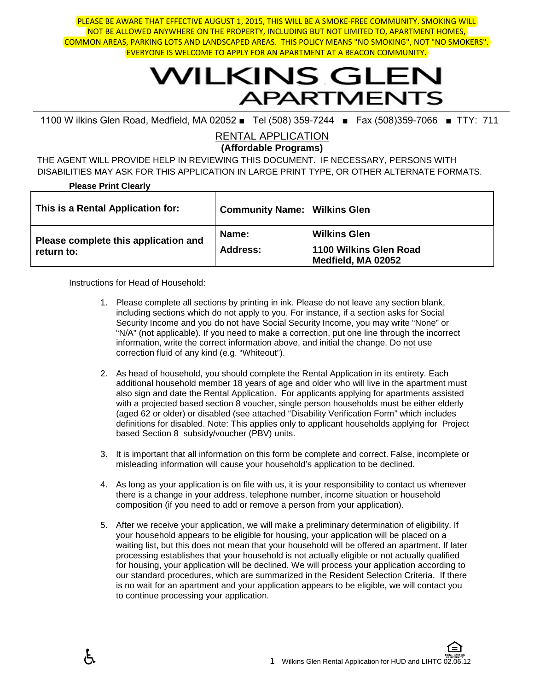PLEASE BE AWARE THAT EFFECTIVE AUGUST 1, 2015, THIS WILL BE A SMOKE-FREE COMMUNITY. SMOKING WILL NOT BE ALLOWED ANYWHERE ON THE PROPERTY, INCLUDING BUT NOT LIMITED TO, APARTMENT HOMES, COMMON AREAS, PARKING LOTS AND LANDSCAPED AREAS. THIS POLICY MEANS "NO SMOKING", NOT "NO SMOKERS". EVERYONE IS WELCOME TO APPLY FOR AN APARTMENT AT A BEACON COMMUNITY.

# *N*ILKINS GLEN **APARTMENTS**

1100 W ilkins Glen Road, Medfield, MA 02052 ■ Tel (508) 359-7244 ■ Fax (508)359-7066 ■ TTY: 711

## RENTAL APPLICATION

### **(Affordable Programs)**

THE AGENT WILL PROVIDE HELP IN REVIEWING THIS DOCUMENT. IF NECESSARY, PERSONS WITH DISABILITIES MAY ASK FOR THIS APPLICATION IN LARGE PRINT TYPE, OR OTHER ALTERNATE FORMATS.

**Please Print Clearly** 

| This is a Rental Application for:                  | <b>Community Name: Wilkins Glen</b> |                                                                     |
|----------------------------------------------------|-------------------------------------|---------------------------------------------------------------------|
| Please complete this application and<br>return to: | Name:<br><b>Address:</b>            | <b>Wilkins Glen</b><br>1100 Wilkins Glen Road<br>Medfield, MA 02052 |

Instructions for Head of Household:

- 1. Please complete all sections by printing in ink. Please do not leave any section blank, including sections which do not apply to you. For instance, if a section asks for Social Security Income and you do not have Social Security Income, you may write "None" or "N/A" (not applicable). If you need to make a correction, put one line through the incorrect information, write the correct information above, and initial the change. Do not use correction fluid of any kind (e.g. "Whiteout").
- 2. As head of household, you should complete the Rental Application in its entirety. Each additional household member 18 years of age and older who will live in the apartment must also sign and date the Rental Application. For applicants applying for apartments assisted with a projected based section 8 voucher, single person households must be either elderly (aged 62 or older) or disabled (see attached "Disability Verification Form" which includes definitions for disabled. Note: This applies only to applicant households applying for Project based Section 8 subsidy/voucher (PBV) units.
- 3. It is important that all information on this form be complete and correct. False, incomplete or misleading information will cause your household's application to be declined.
- 4. As long as your application is on file with us, it is your responsibility to contact us whenever there is a change in your address, telephone number, income situation or household composition (if you need to add or remove a person from your application).
- 5. After we receive your application, we will make a preliminary determination of eligibility. If your household appears to be eligible for housing, your application will be placed on a waiting list, but this does not mean that your household will be offered an apartment. If later processing establishes that your household is not actually eligible or not actually qualified for housing, your application will be declined. We will process your application according to our standard procedures, which are summarized in the Resident Selection Criteria. If there is no wait for an apartment and your application appears to be eligible, we will contact you to continue processing your application.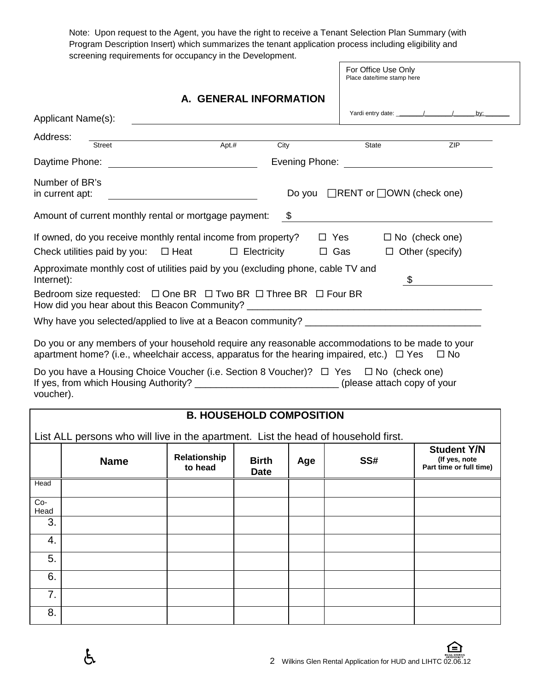Note: Upon request to the Agent, you have the right to receive a Tenant Selection Plan Summary (with Program Description Insert) which summarizes the tenant application process including eligibility and screening requirements for occupancy in the Development.

|            |                                                                                                                                                                                                              |                                                                                                                        |                                 |                | For Office Use Only<br>Place date/time stamp here  |                                                                |
|------------|--------------------------------------------------------------------------------------------------------------------------------------------------------------------------------------------------------------|------------------------------------------------------------------------------------------------------------------------|---------------------------------|----------------|----------------------------------------------------|----------------------------------------------------------------|
|            |                                                                                                                                                                                                              | A. GENERAL INFORMATION                                                                                                 |                                 |                |                                                    |                                                                |
|            | Applicant Name(s):                                                                                                                                                                                           |                                                                                                                        |                                 |                |                                                    |                                                                |
| Address:   |                                                                                                                                                                                                              |                                                                                                                        |                                 |                |                                                    |                                                                |
|            | <b>Street</b>                                                                                                                                                                                                | Apt.#                                                                                                                  | City                            |                | State                                              | ZIP                                                            |
|            | Daytime Phone:                                                                                                                                                                                               | <u> 1989 - Johann Stoff, deutscher Stoffen und der Stoffen und der Stoffen und der Stoffen und der Stoffen und der</u> |                                 | Evening Phone: |                                                    | <u> 1989 - Johann Stein, fransk politik (</u>                  |
|            | Number of BR's<br>in current apt:                                                                                                                                                                            |                                                                                                                        |                                 |                | Do you $\Box$ RENT or $\Box$ OWN (check one)       |                                                                |
|            | Amount of current monthly rental or mortgage payment:                                                                                                                                                        |                                                                                                                        | \$                              |                | <u> 1980 - John Stein, Amerikaansk politiker (</u> |                                                                |
|            | If owned, do you receive monthly rental income from property?                                                                                                                                                |                                                                                                                        |                                 |                | $\Box$ Yes                                         | $\Box$ No (check one)                                          |
|            | Check utilities paid by you: $\Box$ Heat                                                                                                                                                                     |                                                                                                                        | $\Box$ Electricity              |                | $\Box$ Gas                                         | $\Box$ Other (specify)                                         |
| Internet): | Approximate monthly cost of utilities paid by you (excluding phone, cable TV and                                                                                                                             |                                                                                                                        |                                 |                | - \$                                               |                                                                |
|            | Bedroom size requested: □ One BR □ Two BR □ Three BR □ Four BR<br>How did you hear about this Beacon Community? ___________________________________                                                          |                                                                                                                        |                                 |                |                                                    |                                                                |
|            |                                                                                                                                                                                                              |                                                                                                                        |                                 |                |                                                    |                                                                |
|            | Do you or any members of your household require any reasonable accommodations to be made to your<br>apartment home? (i.e., wheelchair access, apparatus for the hearing impaired, etc.) $\Box$ Yes $\Box$ No |                                                                                                                        |                                 |                |                                                    |                                                                |
| voucher).  | Do you have a Housing Choice Voucher (i.e. Section 8 Voucher)? □ Yes □ No (check one)<br>If yes, from which Housing Authority? _____________________________(please attach copy of your                      |                                                                                                                        |                                 |                |                                                    |                                                                |
|            |                                                                                                                                                                                                              |                                                                                                                        | <b>B. HOUSEHOLD COMPOSITION</b> |                |                                                    |                                                                |
|            | List ALL persons who will live in the apartment. List the head of household first.                                                                                                                           |                                                                                                                        |                                 |                |                                                    |                                                                |
|            | <b>Name</b>                                                                                                                                                                                                  | Relationship<br>to head                                                                                                | <b>Birth</b><br><b>Date</b>     | Age            | SS#                                                | <b>Student Y/N</b><br>(If yes, note<br>Part time or full time) |
| Head       |                                                                                                                                                                                                              |                                                                                                                        |                                 |                |                                                    |                                                                |
| Co-        |                                                                                                                                                                                                              |                                                                                                                        |                                 |                |                                                    |                                                                |
|            |                                                                                                                                                                                                              |                                                                                                                        |                                 |                |                                                    |                                                                |
| Head<br>3. |                                                                                                                                                                                                              |                                                                                                                        |                                 |                |                                                    |                                                                |
| 4.         |                                                                                                                                                                                                              |                                                                                                                        |                                 |                |                                                    |                                                                |

6.

7.

8.

£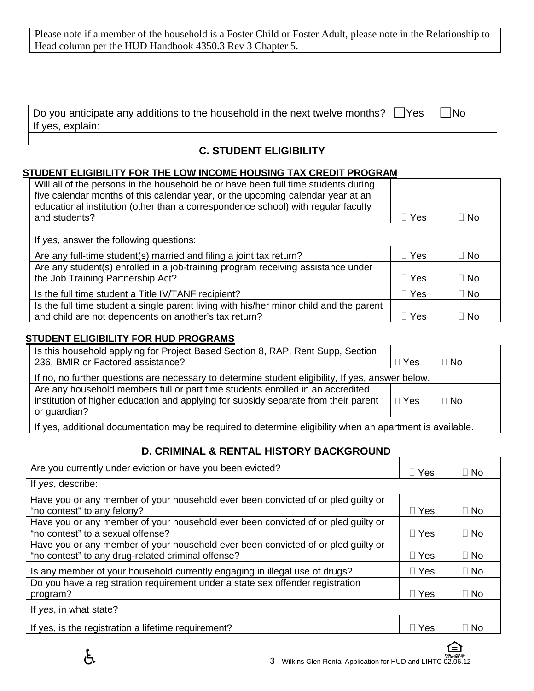Please note if a member of the household is a Foster Child or Foster Adult, please note in the Relationship to Head column per the HUD Handbook 4350.3 Rev 3 Chapter 5.

| Do you anticipate any additions to the household in the next twelve months? $\Box$ Yes | <b>INo</b> |
|----------------------------------------------------------------------------------------|------------|
| If yes, explain:                                                                       |            |
|                                                                                        |            |

### **C. STUDENT ELIGIBILITY**

### **STUDENT ELIGIBILITY FOR THE LOW INCOME HOUSING TAX CREDIT PROGRAM**

| Will all of the persons in the household be or have been full time students during<br>five calendar months of this calendar year, or the upcoming calendar year at an |       |           |
|-----------------------------------------------------------------------------------------------------------------------------------------------------------------------|-------|-----------|
| educational institution (other than a correspondence school) with regular faculty<br>and students?                                                                    | ∃ Yes | $\Box$ No |
| If yes, answer the following questions:                                                                                                                               |       |           |
| Are any full-time student(s) married and filing a joint tax return?                                                                                                   | ∃ Yes | $\Box$ No |
| Are any student(s) enrolled in a job-training program receiving assistance under                                                                                      |       |           |
| the Job Training Partnership Act?                                                                                                                                     | ∏ Yes | $\Box$ No |
| Is the full time student a Title IV/TANF recipient?                                                                                                                   | ∃ Yes | $\Box$ No |
| Is the full time student a single parent living with his/her minor child and the parent                                                                               |       |           |
| and child are not dependents on another's tax return?                                                                                                                 | ∃ Yes | l I No    |

### **STUDENT ELIGIBILITY FOR HUD PROGRAMS**

| Is this household applying for Project Based Section 8, RAP, Rent Supp, Section                                      |               |           |
|----------------------------------------------------------------------------------------------------------------------|---------------|-----------|
| 236, BMIR or Factored assistance?                                                                                    | $\square$ Yes | No        |
| If no, no further questions are necessary to determine student eligibility, If yes, answer below.                    |               |           |
| Are any household members full or part time students enrolled in an accredited                                       |               |           |
| institution of higher education and applying for subsidy separate from their parent                                  | $\Box$ Yes    | $\Box$ No |
| or guardian?                                                                                                         |               |           |
| - Marcelle Jakibarel Jacobscore New Scene Le Scenice Jacobscole Calendari (Pall Warrock come component le constituto |               |           |

| If yes, additional documentation may be required to determine eligibility when an apartment is available. |

### **D. CRIMINAL & RENTAL HISTORY BACKGROUND**

| Are you currently under eviction or have you been evicted?                                                                              | ∃ Yes        | $\Box$ No |
|-----------------------------------------------------------------------------------------------------------------------------------------|--------------|-----------|
| If yes, describe:                                                                                                                       |              |           |
| Have you or any member of your household ever been convicted of or pled guilty or<br>"no contest" to any felony?                        | $\sqcap$ Yes | $\Box$ No |
| Have you or any member of your household ever been convicted of or pled quilty or<br>"no contest" to a sexual offense?                  | ∂ Yes        | $\Box$ No |
| Have you or any member of your household ever been convicted of or pled guilty or<br>"no contest" to any drug-related criminal offense? | $\sqcap$ Yes | $\Box$ No |
| Is any member of your household currently engaging in illegal use of drugs?                                                             | ∃ Yes        | $\Box$ No |
| Do you have a registration requirement under a state sex offender registration<br>program?                                              | ∃ Yes        | $\Box$ No |
| If yes, in what state?                                                                                                                  |              |           |
| If yes, is the registration a lifetime requirement?                                                                                     | ⊺Yes         | ∏ No      |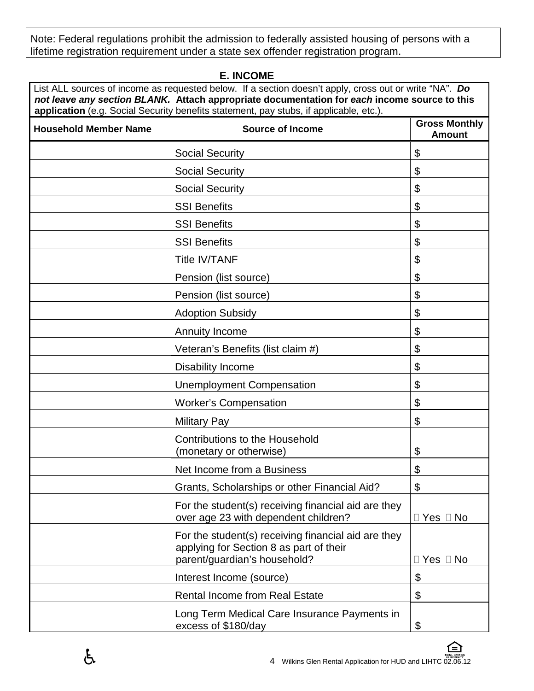Note: Federal regulations prohibit the admission to federally assisted housing of persons with a lifetime registration requirement under a state sex offender registration program.

| <b>E. INCOME</b>                                                                                                                                                                                                                                                                                 |                                                                                                                                |                                       |  |  |  |
|--------------------------------------------------------------------------------------------------------------------------------------------------------------------------------------------------------------------------------------------------------------------------------------------------|--------------------------------------------------------------------------------------------------------------------------------|---------------------------------------|--|--|--|
| List ALL sources of income as requested below. If a section doesn't apply, cross out or write "NA". Do<br>not leave any section BLANK. Attach appropriate documentation for each income source to this<br>application (e.g. Social Security benefits statement, pay stubs, if applicable, etc.). |                                                                                                                                |                                       |  |  |  |
| <b>Household Member Name</b>                                                                                                                                                                                                                                                                     | <b>Source of Income</b>                                                                                                        | <b>Gross Monthly</b><br><b>Amount</b> |  |  |  |
|                                                                                                                                                                                                                                                                                                  | <b>Social Security</b>                                                                                                         | \$                                    |  |  |  |
|                                                                                                                                                                                                                                                                                                  | <b>Social Security</b>                                                                                                         | \$                                    |  |  |  |
|                                                                                                                                                                                                                                                                                                  | <b>Social Security</b>                                                                                                         | \$                                    |  |  |  |
|                                                                                                                                                                                                                                                                                                  | <b>SSI Benefits</b>                                                                                                            | \$                                    |  |  |  |
|                                                                                                                                                                                                                                                                                                  | <b>SSI Benefits</b>                                                                                                            | \$                                    |  |  |  |
|                                                                                                                                                                                                                                                                                                  | <b>SSI Benefits</b>                                                                                                            | \$                                    |  |  |  |
|                                                                                                                                                                                                                                                                                                  | <b>Title IV/TANF</b>                                                                                                           | \$                                    |  |  |  |
|                                                                                                                                                                                                                                                                                                  | Pension (list source)                                                                                                          | \$                                    |  |  |  |
|                                                                                                                                                                                                                                                                                                  | Pension (list source)                                                                                                          | \$                                    |  |  |  |
|                                                                                                                                                                                                                                                                                                  | <b>Adoption Subsidy</b>                                                                                                        | \$                                    |  |  |  |
|                                                                                                                                                                                                                                                                                                  | <b>Annuity Income</b>                                                                                                          | \$                                    |  |  |  |
|                                                                                                                                                                                                                                                                                                  | Veteran's Benefits (list claim #)                                                                                              | \$                                    |  |  |  |
|                                                                                                                                                                                                                                                                                                  | <b>Disability Income</b>                                                                                                       | \$                                    |  |  |  |
|                                                                                                                                                                                                                                                                                                  | <b>Unemployment Compensation</b>                                                                                               | \$                                    |  |  |  |
|                                                                                                                                                                                                                                                                                                  | <b>Worker's Compensation</b>                                                                                                   | \$                                    |  |  |  |
|                                                                                                                                                                                                                                                                                                  | <b>Military Pay</b>                                                                                                            | \$                                    |  |  |  |
|                                                                                                                                                                                                                                                                                                  | <b>Contributions to the Household</b><br>(monetary or otherwise)                                                               | \$                                    |  |  |  |
|                                                                                                                                                                                                                                                                                                  | Net Income from a Business                                                                                                     | \$                                    |  |  |  |
|                                                                                                                                                                                                                                                                                                  | Grants, Scholarships or other Financial Aid?                                                                                   | \$                                    |  |  |  |
|                                                                                                                                                                                                                                                                                                  | For the student(s) receiving financial aid are they<br>over age 23 with dependent children?                                    | $\Box$ Yes $\Box$ No                  |  |  |  |
|                                                                                                                                                                                                                                                                                                  | For the student(s) receiving financial aid are they<br>applying for Section 8 as part of their<br>parent/guardian's household? | $\Box$ Yes $\Box$ No                  |  |  |  |
|                                                                                                                                                                                                                                                                                                  | Interest Income (source)                                                                                                       | \$                                    |  |  |  |
|                                                                                                                                                                                                                                                                                                  | <b>Rental Income from Real Estate</b>                                                                                          | \$                                    |  |  |  |
|                                                                                                                                                                                                                                                                                                  | Long Term Medical Care Insurance Payments in<br>excess of \$180/day                                                            | \$                                    |  |  |  |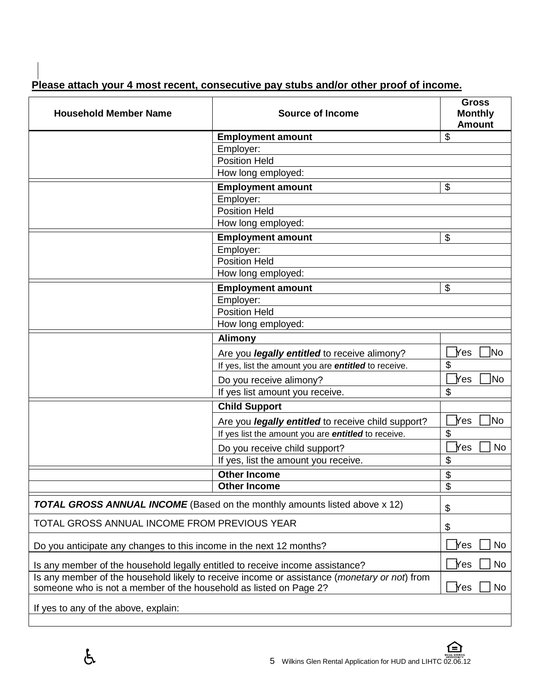### **Please attach your 4 most recent, consecutive pay stubs and/or other proof of income.**

| <b>Household Member Name</b>                                                  | <b>Source of Income</b>                                                                               | <b>Gross</b><br><b>Monthly</b><br><b>Amount</b> |
|-------------------------------------------------------------------------------|-------------------------------------------------------------------------------------------------------|-------------------------------------------------|
|                                                                               | <b>Employment amount</b>                                                                              | \$                                              |
|                                                                               | Employer:                                                                                             |                                                 |
|                                                                               | <b>Position Held</b>                                                                                  |                                                 |
|                                                                               | How long employed:                                                                                    |                                                 |
|                                                                               | <b>Employment amount</b>                                                                              | \$                                              |
|                                                                               | Employer:                                                                                             |                                                 |
|                                                                               | <b>Position Held</b>                                                                                  |                                                 |
|                                                                               | How long employed:                                                                                    |                                                 |
|                                                                               | <b>Employment amount</b>                                                                              | \$                                              |
|                                                                               | Employer:                                                                                             |                                                 |
|                                                                               | <b>Position Held</b>                                                                                  |                                                 |
|                                                                               | How long employed:                                                                                    |                                                 |
|                                                                               | <b>Employment amount</b>                                                                              | \$                                              |
|                                                                               | Employer:                                                                                             |                                                 |
|                                                                               | <b>Position Held</b>                                                                                  |                                                 |
|                                                                               | How long employed:                                                                                    |                                                 |
|                                                                               | <b>Alimony</b>                                                                                        |                                                 |
|                                                                               | Are you <i>legally entitled</i> to receive alimony?                                                   | $\gamma$ <sub>es</sub><br>lNo                   |
|                                                                               | If yes, list the amount you are entitled to receive.                                                  | $\boldsymbol{\mathsf{S}}$                       |
|                                                                               | Do you receive alimony?                                                                               | ้Yes<br>No                                      |
|                                                                               | If yes list amount you receive.                                                                       | \$                                              |
|                                                                               | <b>Child Support</b>                                                                                  |                                                 |
|                                                                               | Are you <i>legally entitled</i> to receive child support?                                             | $\gamma$ es<br><b>No</b>                        |
|                                                                               | If yes list the amount you are entitled to receive.                                                   | \$                                              |
|                                                                               | Do you receive child support?                                                                         | $\gamma$ es<br>No                               |
|                                                                               | If yes, list the amount you receive.                                                                  | \$                                              |
|                                                                               | <b>Other Income</b>                                                                                   | \$                                              |
|                                                                               | <b>Other Income</b>                                                                                   | \$                                              |
|                                                                               |                                                                                                       |                                                 |
|                                                                               | <b>TOTAL GROSS ANNUAL INCOME</b> (Based on the monthly amounts listed above x 12)                     | \$                                              |
| TOTAL GROSS ANNUAL INCOME FROM PREVIOUS YEAR                                  |                                                                                                       | \$                                              |
| Do you anticipate any changes to this income in the next 12 months?           |                                                                                                       | Yes<br>No                                       |
| Is any member of the household legally entitled to receive income assistance? |                                                                                                       | Yes<br>No                                       |
| someone who is not a member of the household as listed on Page 2?             | Is any member of the household likely to receive income or assistance ( <i>monetary or not</i> ) from | Yes<br>No                                       |
|                                                                               |                                                                                                       |                                                 |
| If yes to any of the above, explain:                                          |                                                                                                       |                                                 |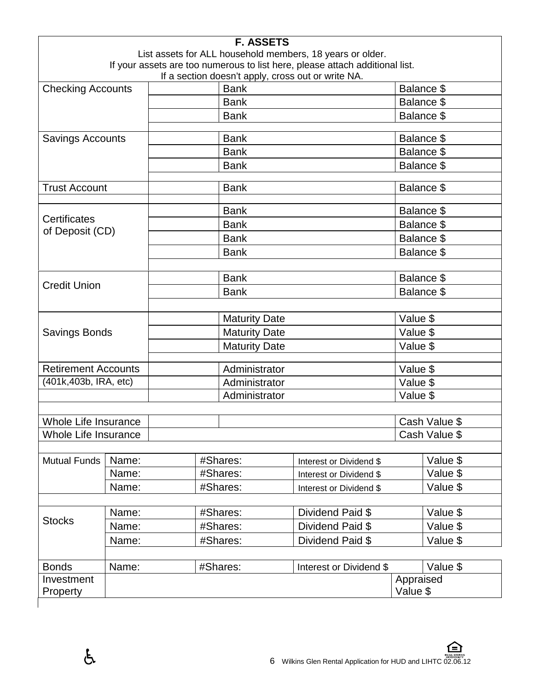|                            |       |                           |                      | <b>F. ASSETS</b>                                   |                                                                                                                                           |            |                      |
|----------------------------|-------|---------------------------|----------------------|----------------------------------------------------|-------------------------------------------------------------------------------------------------------------------------------------------|------------|----------------------|
|                            |       |                           |                      |                                                    | List assets for ALL household members, 18 years or older.<br>If your assets are too numerous to list here, please attach additional list. |            |                      |
|                            |       |                           |                      | If a section doesn't apply, cross out or write NA. |                                                                                                                                           |            |                      |
| <b>Checking Accounts</b>   |       | Balance \$<br><b>Bank</b> |                      |                                                    |                                                                                                                                           |            |                      |
|                            |       |                           |                      | <b>Bank</b>                                        |                                                                                                                                           |            | Balance \$           |
|                            |       |                           |                      | <b>Bank</b>                                        |                                                                                                                                           |            | Balance \$           |
| <b>Savings Accounts</b>    |       |                           |                      | <b>Bank</b>                                        |                                                                                                                                           |            | Balance \$           |
|                            |       |                           |                      | <b>Bank</b>                                        |                                                                                                                                           |            | Balance \$           |
|                            |       |                           |                      | <b>Bank</b>                                        |                                                                                                                                           |            | Balance \$           |
| <b>Trust Account</b>       |       |                           |                      | <b>Bank</b>                                        |                                                                                                                                           |            | Balance \$           |
|                            |       |                           |                      | <b>Bank</b>                                        |                                                                                                                                           |            | Balance \$           |
| Certificates               |       |                           |                      | <b>Bank</b>                                        |                                                                                                                                           |            | Balance \$           |
| of Deposit (CD)            |       |                           |                      | <b>Bank</b>                                        |                                                                                                                                           |            | Balance \$           |
|                            |       |                           |                      | <b>Bank</b>                                        |                                                                                                                                           |            | Balance \$           |
|                            |       |                           |                      |                                                    |                                                                                                                                           |            |                      |
|                            |       |                           |                      | <b>Bank</b>                                        |                                                                                                                                           | Balance \$ |                      |
| <b>Credit Union</b>        |       | <b>Bank</b>               |                      | Balance \$                                         |                                                                                                                                           |            |                      |
|                            |       |                           |                      |                                                    |                                                                                                                                           |            |                      |
|                            |       |                           | <b>Maturity Date</b> |                                                    |                                                                                                                                           | Value \$   |                      |
| <b>Savings Bonds</b>       |       |                           | <b>Maturity Date</b> |                                                    | Value \$                                                                                                                                  |            |                      |
|                            |       |                           | <b>Maturity Date</b> |                                                    | Value \$                                                                                                                                  |            |                      |
| <b>Retirement Accounts</b> |       |                           |                      | Administrator                                      |                                                                                                                                           | Value \$   |                      |
| (401k, 403b, IRA, etc)     |       |                           |                      | Administrator                                      |                                                                                                                                           | Value \$   |                      |
|                            |       |                           |                      | Administrator                                      |                                                                                                                                           | Value \$   |                      |
|                            |       |                           |                      |                                                    |                                                                                                                                           |            |                      |
| Whole Life Insurance       |       |                           |                      |                                                    |                                                                                                                                           |            | Cash Value \$        |
| Whole Life Insurance       |       |                           |                      |                                                    |                                                                                                                                           |            | Cash Value \$        |
|                            |       |                           |                      |                                                    |                                                                                                                                           |            |                      |
| <b>Mutual Funds</b>        | Name: |                           |                      | #Shares:                                           | Interest or Dividend \$                                                                                                                   |            | Value \$             |
|                            | Name: |                           |                      | #Shares:                                           | Interest or Dividend \$                                                                                                                   |            | Value \$             |
|                            | Name: |                           |                      | #Shares:                                           | Interest or Dividend \$                                                                                                                   |            | Value \$             |
|                            | Name: |                           |                      | #Shares:                                           | Dividend Paid \$                                                                                                                          |            | Value \$             |
| <b>Stocks</b>              | Name: |                           |                      | #Shares:                                           | Dividend Paid \$                                                                                                                          |            |                      |
|                            | Name: |                           |                      | #Shares:                                           | Dividend Paid \$                                                                                                                          |            | Value \$<br>Value \$ |
|                            |       |                           |                      |                                                    |                                                                                                                                           |            |                      |
| <b>Bonds</b>               | Name: |                           |                      | #Shares:                                           | Interest or Dividend \$                                                                                                                   |            | Value \$             |
| Investment                 |       |                           |                      |                                                    |                                                                                                                                           | Appraised  |                      |
| Property                   |       |                           |                      |                                                    |                                                                                                                                           | Value \$   |                      |

Ġ.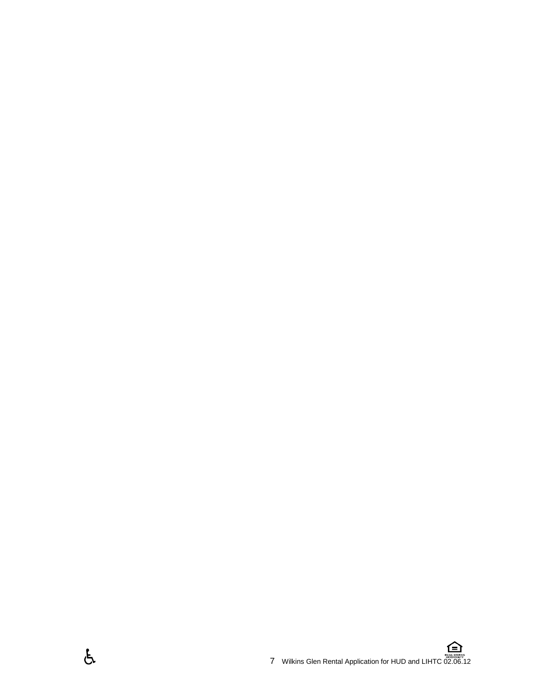

Ġ.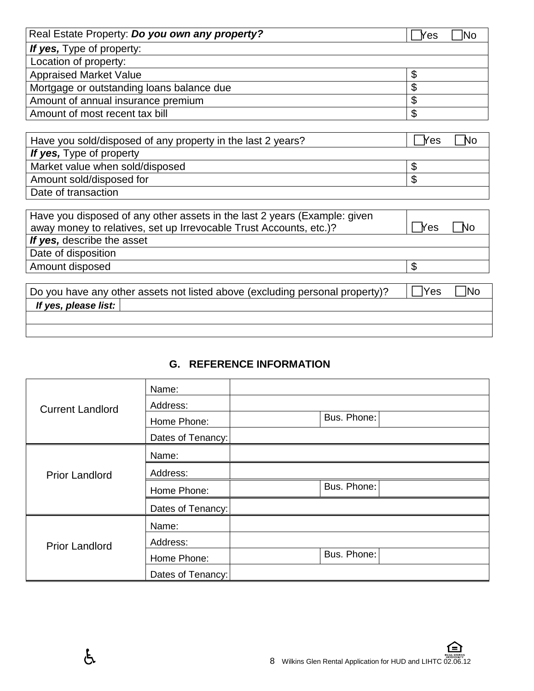| Real Estate Property: Do you own any property? | Yes | lNo |
|------------------------------------------------|-----|-----|
| If yes, Type of property:                      |     |     |
| Location of property:                          |     |     |
| <b>Appraised Market Value</b>                  |     |     |
| Mortgage or outstanding loans balance due      |     |     |
| Amount of annual insurance premium             |     |     |
| Amount of most recent tax bill                 |     |     |
|                                                |     |     |

| Have you sold/disposed of any property in the last 2 years? | Yes<br>No |  |
|-------------------------------------------------------------|-----------|--|
| If yes, Type of property                                    |           |  |
| Market value when sold/disposed                             |           |  |
| Amount sold/disposed for                                    |           |  |
| Date of transaction                                         |           |  |

| Have you disposed of any other assets in the last 2 years (Example: given |             |           |
|---------------------------------------------------------------------------|-------------|-----------|
| away money to relatives, set up Irrevocable Trust Accounts, etc.)?        | <b>T</b> es | <b>No</b> |
| If yes, describe the asset                                                |             |           |
| Date of disposition                                                       |             |           |
| Amount disposed                                                           |             |           |
|                                                                           |             |           |

|                      | Do you have any other assets not listed above (excluding personal property)? | lYes | <b>INo</b> |
|----------------------|------------------------------------------------------------------------------|------|------------|
| If yes, please list: |                                                                              |      |            |
|                      |                                                                              |      |            |
|                      |                                                                              |      |            |

### **G. REFERENCE INFORMATION**

|                         | Name:             |             |
|-------------------------|-------------------|-------------|
| <b>Current Landlord</b> | Address:          |             |
|                         | Home Phone:       | Bus. Phone: |
|                         | Dates of Tenancy: |             |
| <b>Prior Landlord</b>   | Name:             |             |
|                         | Address:          |             |
|                         | Home Phone:       | Bus. Phone: |
|                         | Dates of Tenancy: |             |
|                         | Name:             |             |
| <b>Prior Landlord</b>   | Address:          |             |
|                         | Home Phone:       | Bus. Phone: |
|                         | Dates of Tenancy: |             |

£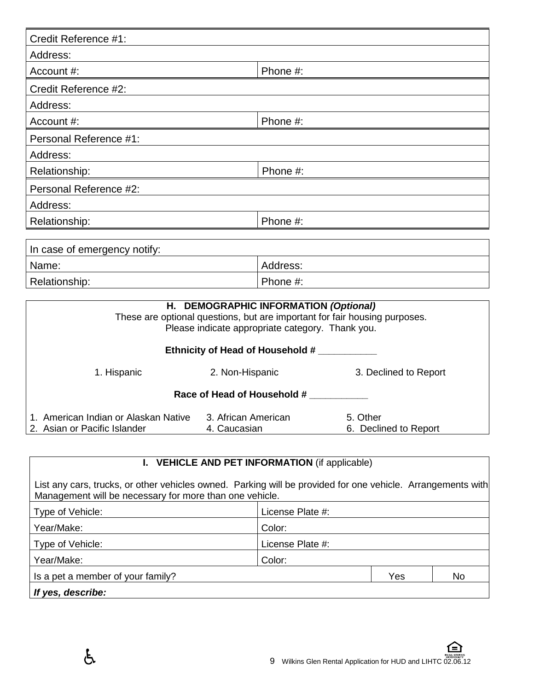| Credit Reference #1:               |          |  |
|------------------------------------|----------|--|
| Address:                           |          |  |
| Account #:                         | Phone #: |  |
| Credit Reference #2:               |          |  |
| Address:                           |          |  |
| Account #:                         | Phone #: |  |
| Personal Reference #1:             |          |  |
| Address:                           |          |  |
| Relationship:                      | Phone #: |  |
| Personal Reference #2:             |          |  |
| Address:                           |          |  |
| Relationship:                      | Phone #: |  |
| $\sim$<br>$\overline{\phantom{a}}$ |          |  |

| In case of emergency notify: |          |  |
|------------------------------|----------|--|
| Name:                        | Address: |  |
| Relationship:                | Phone #: |  |

| H. DEMOGRAPHIC INFORMATION (Optional)<br>These are optional questions, but are important for fair housing purposes.<br>Please indicate appropriate category. Thank you. |                                     |                                   |  |
|-------------------------------------------------------------------------------------------------------------------------------------------------------------------------|-------------------------------------|-----------------------------------|--|
| <b>Ethnicity of Head of Household #</b>                                                                                                                                 |                                     |                                   |  |
| 1. Hispanic                                                                                                                                                             | 2. Non-Hispanic                     | 3. Declined to Report             |  |
| Race of Head of Household #                                                                                                                                             |                                     |                                   |  |
| 1. American Indian or Alaskan Native<br>2. Asian or Pacific Islander                                                                                                    | 3. African American<br>4. Caucasian | 5. Other<br>6. Declined to Report |  |

### **I. VEHICLE AND PET INFORMATION** (if applicable)

List any cars, trucks, or other vehicles owned. Parking will be provided for one vehicle. Arrangements with Management will be necessary for more than one vehicle.

| Type of Vehicle:                  | License Plate #: |  |  |
|-----------------------------------|------------------|--|--|
| Year/Make:                        | Color:           |  |  |
| Type of Vehicle:                  | License Plate #: |  |  |
| Year/Make:                        | Color:           |  |  |
| Is a pet a member of your family? | No<br>Yes        |  |  |
| If yes, describe:                 |                  |  |  |

£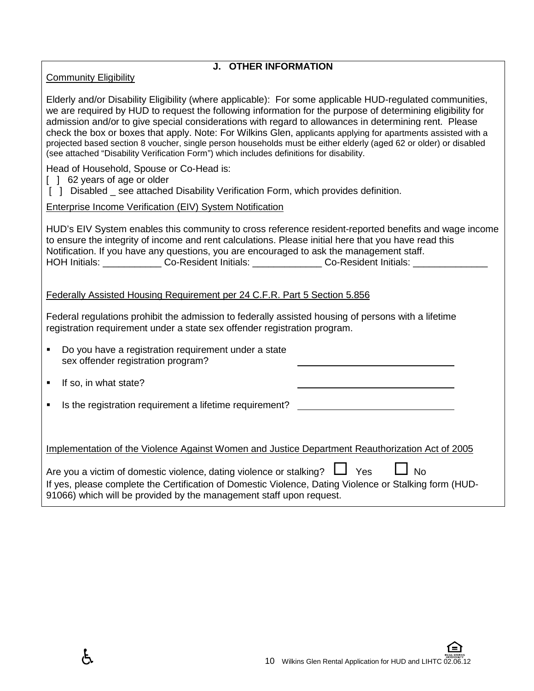#### **J. OTHER INFORMATION**

Community Eligibility

Elderly and/or Disability Eligibility (where applicable): For some applicable HUD-regulated communities, we are required by HUD to request the following information for the purpose of determining eligibility for admission and/or to give special considerations with regard to allowances in determining rent. Please check the box or boxes that apply. Note: For Wilkins Glen, applicants applying for apartments assisted with a projected based section 8 voucher, single person households must be either elderly (aged 62 or older) or disabled (see attached "Disability Verification Form") which includes definitions for disability.

Head of Household, Spouse or Co-Head is:

- [ ] 62 years of age or older
- [ ] Disabled see attached Disability Verification Form, which provides definition.

Enterprise Income Verification (EIV) System Notification

HUD's EIV System enables this community to cross reference resident-reported benefits and wage income to ensure the integrity of income and rent calculations. Please initial here that you have read this Notification. If you have any questions, you are encouraged to ask the management staff. HOH Initials: \_\_\_\_\_\_\_\_\_\_\_\_\_\_ Co-Resident Initials: \_\_\_\_\_\_\_\_\_\_\_\_\_\_\_\_\_ Co-Resident Initials: \_\_\_\_\_

### Federally Assisted Housing Requirement per 24 C.F.R. Part 5 Section 5.856

Federal regulations prohibit the admission to federally assisted housing of persons with a lifetime registration requirement under a state sex offender registration program.

| Do you have a registration requirement under a state |
|------------------------------------------------------|
| sex offender registration program?                   |

**If so, in what state?** 

Is the registration requirement a lifetime requirement?

#### Implementation of the Violence Against Women and Justice Department Reauthorization Act of 2005

| Are you a victim of domestic violence, dating violence or stalking? $\Box$ Yes                         |  | $\Box$ No |
|--------------------------------------------------------------------------------------------------------|--|-----------|
| If yes, please complete the Certification of Domestic Violence, Dating Violence or Stalking form (HUD- |  |           |
| 91066) which will be provided by the management staff upon request.                                    |  |           |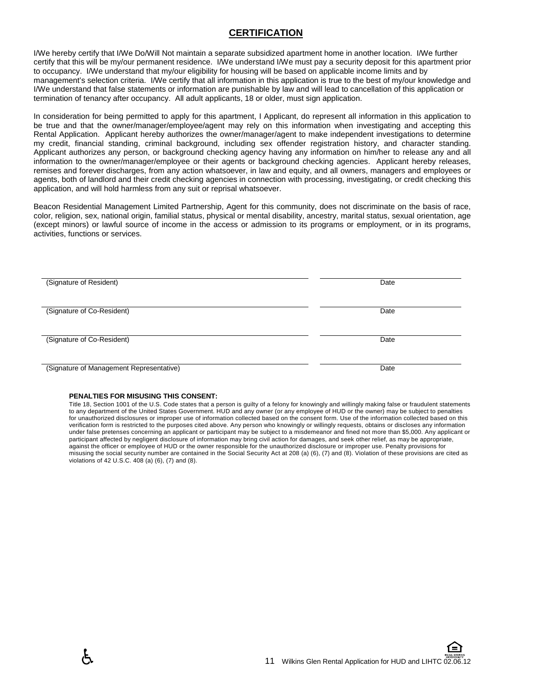#### **CERTIFICATION**

I/We hereby certify that I/We Do/Will Not maintain a separate subsidized apartment home in another location. I/We further certify that this will be my/our permanent residence. I/We understand I/We must pay a security deposit for this apartment prior to occupancy. I/We understand that my/our eligibility for housing will be based on applicable income limits and by management's selection criteria. I/We certify that all information in this application is true to the best of my/our knowledge and I/We understand that false statements or information are punishable by law and will lead to cancellation of this application or termination of tenancy after occupancy. All adult applicants, 18 or older, must sign application.

In consideration for being permitted to apply for this apartment, I Applicant, do represent all information in this application to be true and that the owner/manager/employee/agent may rely on this information when investigating and accepting this Rental Application. Applicant hereby authorizes the owner/manager/agent to make independent investigations to determine my credit, financial standing, criminal background, including sex offender registration history, and character standing. Applicant authorizes any person, or background checking agency having any information on him/her to release any and all information to the owner/manager/employee or their agents or background checking agencies. Applicant hereby releases, remises and forever discharges, from any action whatsoever, in law and equity, and all owners, managers and employees or agents, both of landlord and their credit checking agencies in connection with processing, investigating, or credit checking this application, and will hold harmless from any suit or reprisal whatsoever.

Beacon Residential Management Limited Partnership, Agent for this community, does not discriminate on the basis of race, color, religion, sex, national origin, familial status, physical or mental disability, ancestry, marital status, sexual orientation, age (except minors) or lawful source of income in the access or admission to its programs or employment, or in its programs, activities, functions or services.

| (Signature of Resident)                  | Date |
|------------------------------------------|------|
|                                          |      |
| (Signature of Co-Resident)               | Date |
|                                          |      |
| (Signature of Co-Resident)               | Date |
|                                          |      |
| (Signature of Management Representative) | Date |

#### **PENALTIES FOR MISUSING THIS CONSENT:**

Title 18, Section 1001 of the U.S. Code states that a person is guilty of a felony for knowingly and willingly making false or fraudulent statements to any department of the United States Government. HUD and any owner (or any employee of HUD or the owner) may be subject to penalties for unauthorized disclosures or improper use of information collected based on the consent form. Use of the information collected based on this verification form is restricted to the purposes cited above. Any person who knowingly or willingly requests, obtains or discloses any information under false pretenses concerning an applicant or participant may be subject to a misdemeanor and fined not more than \$5,000. Any applicant or participant affected by negligent disclosure of information may bring civil action for damages, and seek other relief, as may be appropriate, against the officer or employee of HUD or the owner responsible for the unauthorized disclosure or improper use. Penalty provisions for misusing the social security number are contained in the Social Security Act at 208 (a) (6), (7) and (8). Violation of these provisions are cited as violations of 42 U.S.C. 408 (a) (6), (7) and (8).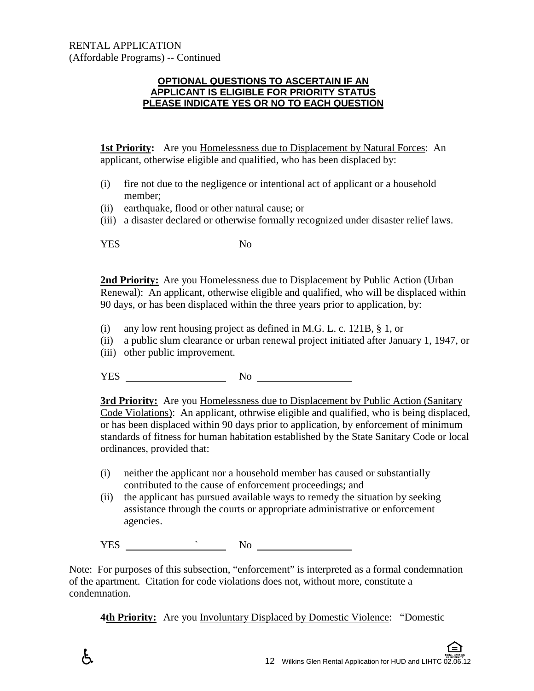#### **OPTIONAL QUESTIONS TO ASCERTAIN IF AN APPLICANT IS ELIGIBLE FOR PRIORITY STATUS PLEASE INDICATE YES OR NO TO EACH QUESTION**

**1st Priority:** Are you Homelessness due to Displacement by Natural Forces: An applicant, otherwise eligible and qualified, who has been displaced by:

- (i) fire not due to the negligence or intentional act of applicant or a household member;
- (ii) earthquake, flood or other natural cause; or
- (iii) a disaster declared or otherwise formally recognized under disaster relief laws.

YES No

**2nd Priority:** Are you Homelessness due to Displacement by Public Action (Urban Renewal): An applicant, otherwise eligible and qualified, who will be displaced within 90 days, or has been displaced within the three years prior to application, by:

- (i) any low rent housing project as defined in M.G. L. c. 121B, § 1, or
- (ii) a public slum clearance or urban renewal project initiated after January 1, 1947, or
- (iii) other public improvement.

ᄹ

YES No

**3rd Priority:** Are you Homelessness due to Displacement by Public Action (Sanitary Code Violations): An applicant, othrwise eligible and qualified, who is being displaced, or has been displaced within 90 days prior to application, by enforcement of minimum standards of fitness for human habitation established by the State Sanitary Code or local ordinances, provided that:

- (i) neither the applicant nor a household member has caused or substantially contributed to the cause of enforcement proceedings; and
- (ii) the applicant has pursued available ways to remedy the situation by seeking assistance through the courts or appropriate administrative or enforcement agencies.

 $YES$  No  $N$ 

Note: For purposes of this subsection, "enforcement" is interpreted as a formal condemnation of the apartment. Citation for code violations does not, without more, constitute a condemnation.

**4th Priority:** Are you Involuntary Displaced by Domestic Violence: "Domestic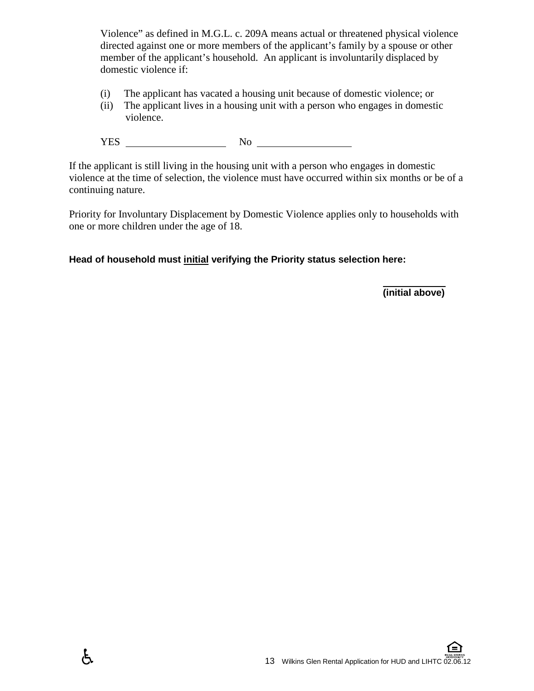Violence" as defined in M.G.L. c. 209A means actual or threatened physical violence directed against one or more members of the applicant's family by a spouse or other member of the applicant's household. An applicant is involuntarily displaced by domestic violence if:

- (i) The applicant has vacated a housing unit because of domestic violence; or
- (ii) The applicant lives in a housing unit with a person who engages in domestic violence.

 $YES$  No  $\overline{\phantom{a}}$  No  $\overline{\phantom{a}}$ 

If the applicant is still living in the housing unit with a person who engages in domestic violence at the time of selection, the violence must have occurred within six months or be of a continuing nature.

Priority for Involuntary Displacement by Domestic Violence applies only to households with one or more children under the age of 18.

**Head of household must initial verifying the Priority status selection here:** 

Ė.

**(initial above)**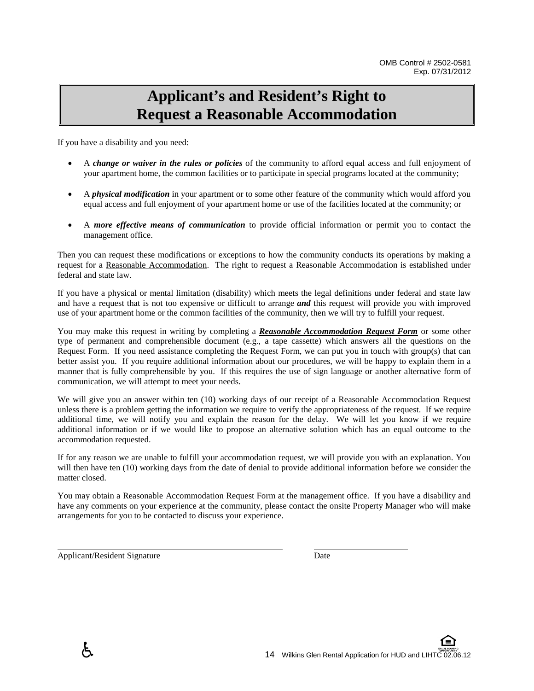# **Applicant's and Resident's Right to Request a Reasonable Accommodation**

If you have a disability and you need:

- A *change or waiver in the rules or policies* of the community to afford equal access and full enjoyment of your apartment home, the common facilities or to participate in special programs located at the community;
- A *physical modification* in your apartment or to some other feature of the community which would afford you equal access and full enjoyment of your apartment home or use of the facilities located at the community; or
- A *more effective means of communication* to provide official information or permit you to contact the management office.

Then you can request these modifications or exceptions to how the community conducts its operations by making a request for a Reasonable Accommodation. The right to request a Reasonable Accommodation is established under federal and state law.

If you have a physical or mental limitation (disability) which meets the legal definitions under federal and state law and have a request that is not too expensive or difficult to arrange *and* this request will provide you with improved use of your apartment home or the common facilities of the community, then we will try to fulfill your request.

You may make this request in writing by completing a *Reasonable Accommodation Request Form* or some other type of permanent and comprehensible document (e.g., a tape cassette) which answers all the questions on the Request Form. If you need assistance completing the Request Form, we can put you in touch with group(s) that can better assist you. If you require additional information about our procedures, we will be happy to explain them in a manner that is fully comprehensible by you. If this requires the use of sign language or another alternative form of communication, we will attempt to meet your needs.

We will give you an answer within ten (10) working days of our receipt of a Reasonable Accommodation Request unless there is a problem getting the information we require to verify the appropriateness of the request. If we require additional time, we will notify you and explain the reason for the delay. We will let you know if we require additional information or if we would like to propose an alternative solution which has an equal outcome to the accommodation requested.

If for any reason we are unable to fulfill your accommodation request, we will provide you with an explanation. You will then have ten (10) working days from the date of denial to provide additional information before we consider the matter closed.

You may obtain a Reasonable Accommodation Request Form at the management office. If you have a disability and have any comments on your experience at the community, please contact the onsite Property Manager who will make arrangements for you to be contacted to discuss your experience.

Applicant/Resident Signature Date

Ġ.